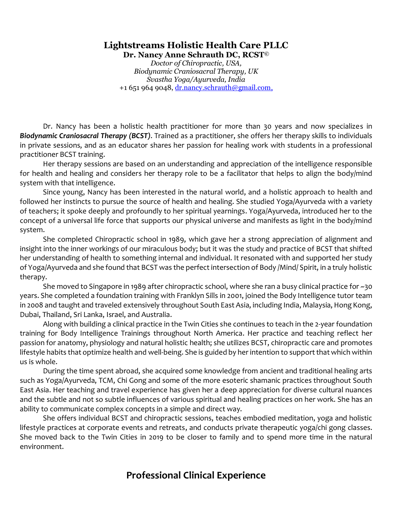#### **Lightstreams Holistic Health Care PLLC Dr. Nancy Anne Schrauth DC, RCST©**

*Doctor of Chiropractic, USA, Biodynamic Craniosacral Therapy, UK Svastha Yoga/Ayurveda, India* +1 651 964 9048,  $dr$  mancy schrauth@gmail.com,

Dr. Nancy has been a holistic health practitioner for more than 30 years and now specializes in *Biodynamic Craniosacral Therapy (BCST)*. Trained as a practitioner, she offers her therapy skills to individuals in private sessions, and as an educator shares her passion for healing work with students in a professional practitioner BCST training.

Her therapy sessions are based on an understanding and appreciation of the intelligence responsible for health and healing and considers her therapy role to be a facilitator that helps to align the body/mind system with that intelligence.

Since young, Nancy has been interested in the natural world, and a holistic approach to health and followed her instincts to pursue the source of health and healing. She studied Yoga/Ayurveda with a variety of teachers; it spoke deeply and profoundly to her spiritual yearnings. Yoga/Ayurveda, introduced her to the concept of a universal life force that supports our physical universe and manifests as light in the body/mind system.

She completed Chiropractic school in 1989, which gave her a strong appreciation of alignment and insight into the inner workings of our miraculous body; but it was the study and practice of BCST that shifted her understanding of health to something internal and individual. It resonated with and supported her study of Yoga/Ayurveda and she found that BCST was the perfect intersection of Body /Mind/ Spirit, in a truly holistic therapy.

She moved to Singapore in 1989 after chiropractic school, where she ran a busy clinical practice for ~30 years. She completed a foundation training with Franklyn Sills in 2001, joined the Body Intelligence tutor team in 2008 and taught and traveled extensively throughout South East Asia, including India, Malaysia, Hong Kong, Dubai, Thailand, Sri Lanka, Israel, and Australia.

Along with building a clinical practice in the Twin Cities she continues to teach in the 2-year foundation training for Body Intelligence Trainings throughout North America. Her practice and teaching reflect her passion for anatomy, physiology and natural holistic health; she utilizes BCST, chiropractic care and promotes lifestyle habits that optimize health and well-being. She is guided by her intention to support that which within us is whole.

During the time spent abroad, she acquired some knowledge from ancient and traditional healing arts such as Yoga/Ayurveda, TCM, Chi Gong and some of the more esoteric shamanic practices throughout South East Asia. Her teaching and travel experience has given her a deep appreciation for diverse cultural nuances and the subtle and not so subtle influences of various spiritual and healing practices on her work. She has an ability to communicate complex concepts in a simple and direct way.

She offers individual BCST and chiropractic sessions, teaches embodied meditation, yoga and holistic lifestyle practices at corporate events and retreats, and conducts private therapeutic yoga/chi gong classes. She moved back to the Twin Cities in 2019 to be closer to family and to spend more time in the natural environment.

# **Professional Clinical Experience**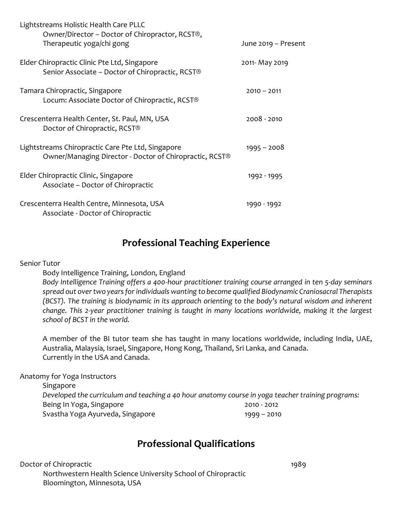| Lightstreams Holistic Health Care PLLC<br>Owner/Director – Doctor of Chiropractor, RCST®,                    |                     |
|--------------------------------------------------------------------------------------------------------------|---------------------|
| Therapeutic yoga/chi gong                                                                                    | June 2019 - Present |
| Elder Chiropractic Clinic Pte Ltd, Singapore<br>Senior Associate – Doctor of Chiropractic, RCST®             | 2011- May 2019      |
| Tamara Chiropractic, Singapore<br>Locum: Associate Doctor of Chiropractic, RCST®                             | $2010 - 2011$       |
| Crescenterra Health Center, St. Paul, MN, USA<br>Doctor of Chiropractic, RCST®                               | 2008 - 2010         |
| Lightstreams Chiropractic Care Pte Ltd, Singapore<br>Owner/Managing Director - Doctor of Chiropractic, RCST® | $1995 - 2008$       |
| Elder Chiropractic Clinic, Singapore<br>Associate – Doctor of Chiropractic                                   | 1992 - 1995         |
| Crescenterra Health Centre, Minnesota, USA<br>Associate - Doctor of Chiropractic                             | 1990 - 1992         |

### **Professional Teaching Experience**

Senior Tutor

Body Intelligence Training, London, England

*Body Intelligence Training offers a 400-hour practitioner training course arranged in ten 5-day seminars spread out over two years for individuals wanting to become qualified Biodynamic Craniosacral Therapists (BCST). The training is biodynamic in its approach orienting to the body's natural wisdom and inherent change. This 2-year practitioner training is taught in many locations worldwide, making it the largest school of BCST in the world.* 

A member of the BI tutor team she has taught in many locations worldwide, including India, UAE, Australia, Malaysia, Israel, Singapore, Hong Kong, Thailand, Sri Lanka, and Canada. Currently in the USA and Canada.

Anatomy for Yoga Instructors

Singapore *Developed the curriculum and teaching a 40 hour anatomy course in yoga teacher training programs:* Being In Yoga, Singapore 2010 - 2012 Svastha Yoga Ayurveda, Singapore 1999 – 2010

# **Professional Qualifications**

Doctor of Chiropractic New York 1989 Northwestern Health Science University School of Chiropractic Bloomington, Minnesota, USA